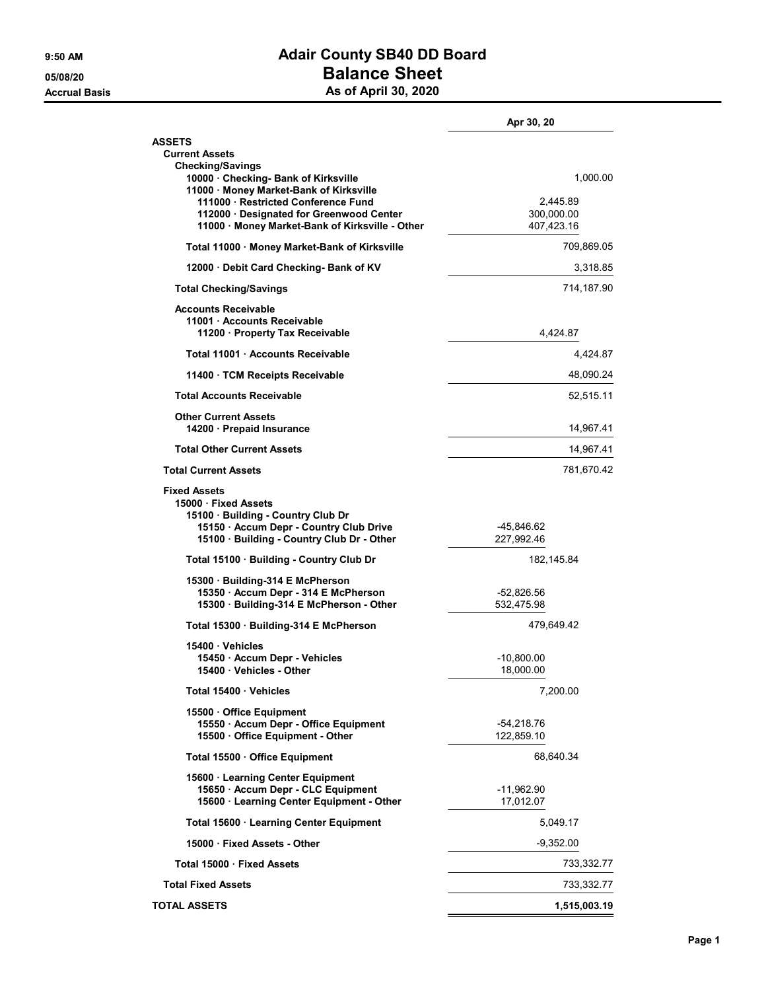## 9:50 AM **Adair County SB40 DD Board** 05/08/20 05/08/20 Accrual Basis **Accrual Basis** As of April 30, 2020

|                                                                                                                                                                        | Apr 30, 20                |
|------------------------------------------------------------------------------------------------------------------------------------------------------------------------|---------------------------|
| <b>ASSETS</b><br><b>Current Assets</b>                                                                                                                                 |                           |
| <b>Checking/Savings</b><br>10000 Checking- Bank of Kirksville<br>11000 · Money Market-Bank of Kirksville<br>111000 · Restricted Conference Fund                        | 1,000.00<br>2,445.89      |
| 112000 · Designated for Greenwood Center<br>11000 · Money Market-Bank of Kirksville - Other                                                                            | 300,000.00<br>407,423.16  |
| Total 11000 · Money Market-Bank of Kirksville                                                                                                                          | 709,869.05                |
| 12000 Debit Card Checking- Bank of KV                                                                                                                                  | 3,318.85                  |
| <b>Total Checking/Savings</b>                                                                                                                                          | 714,187.90                |
| <b>Accounts Receivable</b><br>11001 · Accounts Receivable<br>11200 Property Tax Receivable                                                                             | 4,424.87                  |
| Total 11001 Accounts Receivable                                                                                                                                        | 4,424.87                  |
| 11400 TCM Receipts Receivable                                                                                                                                          | 48,090.24                 |
| <b>Total Accounts Receivable</b>                                                                                                                                       | 52,515.11                 |
| <b>Other Current Assets</b><br>14200 Prepaid Insurance                                                                                                                 | 14,967.41                 |
| <b>Total Other Current Assets</b>                                                                                                                                      | 14,967.41                 |
| <b>Total Current Assets</b>                                                                                                                                            | 781,670.42                |
| <b>Fixed Assets</b><br>15000 Fixed Assets<br>15100 Building - Country Club Dr<br>15150 · Accum Depr - Country Club Drive<br>15100 · Building - Country Club Dr - Other | -45,846.62<br>227,992.46  |
| Total 15100 · Building - Country Club Dr                                                                                                                               | 182,145.84                |
| 15300 Building-314 E McPherson<br>15350 · Accum Depr - 314 E McPherson<br>15300 · Building-314 E McPherson - Other                                                     | -52,826.56<br>532,475.98  |
| Total 15300 Building-314 E McPherson                                                                                                                                   | 479.649.42                |
| 15400 Vehicles                                                                                                                                                         |                           |
| 15450 · Accum Depr - Vehicles<br>15400 · Vehicles - Other                                                                                                              | $-10,800.00$<br>18,000.00 |
| Total 15400 Vehicles                                                                                                                                                   | 7,200.00                  |
| 15500 Office Equipment<br>15550 · Accum Depr - Office Equipment<br>15500 · Office Equipment - Other                                                                    | -54,218.76<br>122.859.10  |
| Total 15500 · Office Equipment                                                                                                                                         | 68,640.34                 |
| 15600 · Learning Center Equipment<br>15650 · Accum Depr - CLC Equipment<br>15600 · Learning Center Equipment - Other                                                   | -11,962.90<br>17,012.07   |
|                                                                                                                                                                        |                           |
| Total 15600 · Learning Center Equipment<br>15000 Fixed Assets - Other                                                                                                  | 5,049.17<br>$-9,352.00$   |
| Total 15000 · Fixed Assets                                                                                                                                             |                           |
| <b>Total Fixed Assets</b>                                                                                                                                              | 733,332.77                |
|                                                                                                                                                                        | 733,332.77                |
| <b>TOTAL ASSETS</b>                                                                                                                                                    | 1,515,003.19              |